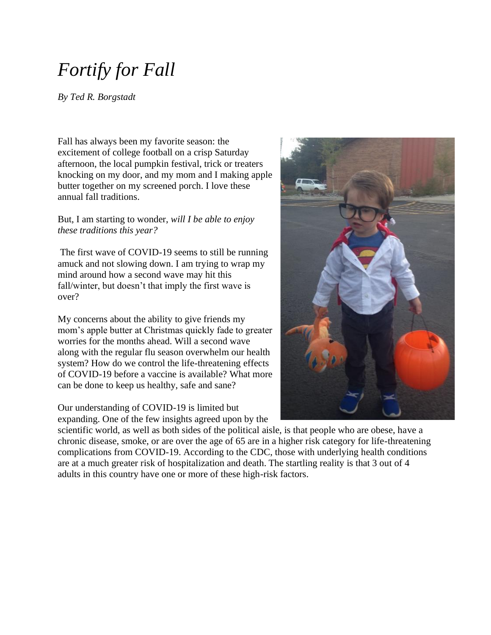# *Fortify for Fall*

*By Ted R. Borgstadt*

Fall has always been my favorite season: the excitement of college football on a crisp Saturday afternoon, the local pumpkin festival, trick or treaters knocking on my door, and my mom and I making apple butter together on my screened porch. I love these annual fall traditions.

But, I am starting to wonder, *will I be able to enjoy these traditions this year?*

The first wave of COVID-19 seems to still be running amuck and not slowing down. I am trying to wrap my mind around how a second wave may hit this fall/winter, but doesn't that imply the first wave is over?

My concerns about the ability to give friends my mom's apple butter at Christmas quickly fade to greater worries for the months ahead. Will a second wave along with the regular flu season overwhelm our health system? How do we control the life-threatening effects of COVID-19 before a vaccine is available? What more can be done to keep us healthy, safe and sane?

Our understanding of COVID-19 is limited but expanding. One of the few insights agreed upon by the

scientific world, as well as both sides of the political aisle, is that people who are obese, have a chronic disease, smoke, or are over the age of 65 are in a higher risk category for life-threatening complications from COVID-19. According to the CDC, those with underlying health conditions are at a much greater risk of hospitalization and death. The startling reality is that 3 out of 4 adults in this country have one or more of these high-risk factors.

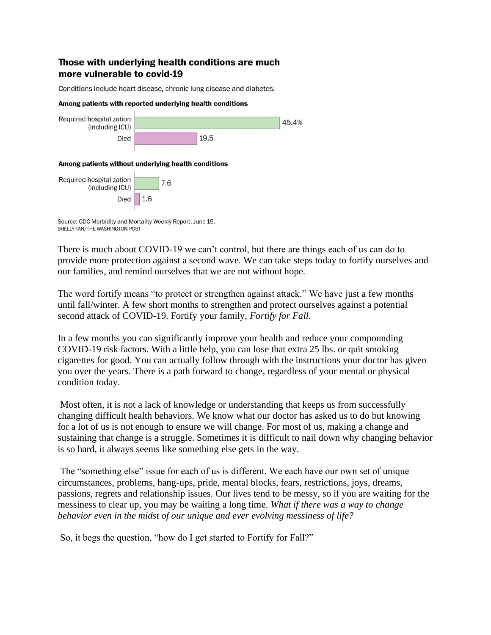#### Those with underlying health conditions are much more vulnerable to covid-19

Conditions include heart disease, chronic lung disease and diabetes.

#### Among patients with reported underlying health conditions



Source: CDC Morbidity and Mortality Weekly Report, June 15. SHELLY TAN/THE WASHINGTON POST

There is much about COVID-19 we can't control, but there are things each of us can do to provide more protection against a second wave. We can take steps today to fortify ourselves and our families, and remind ourselves that we are not without hope.

The word fortify means "to protect or strengthen against attack." We have just a few months until fall/winter. A few short months to strengthen and protect ourselves against a potential second attack of COVID-19. Fortify your family, *Fortify for Fall*.

In a few months you can significantly improve your health and reduce your compounding COVID-19 risk factors. With a little help, you can lose that extra 25 lbs. or quit smoking cigarettes for good. You can actually follow through with the instructions your doctor has given you over the years. There is a path forward to change, regardless of your mental or physical condition today.

Most often, it is not a lack of knowledge or understanding that keeps us from successfully changing difficult health behaviors. We know what our doctor has asked us to do but knowing for a lot of us is not enough to ensure we will change. For most of us, making a change and sustaining that change is a struggle. Sometimes it is difficult to nail down why changing behavior is so hard, it always seems like something else gets in the way.

The "something else" issue for each of us is different. We each have our own set of unique circumstances, problems, hang-ups, pride, mental blocks, fears, restrictions, joys, dreams, passions, regrets and relationship issues. Our lives tend to be messy, so if you are waiting for the messiness to clear up, you may be waiting a long time. *What if there was a way to change behavior even in the midst of our unique and ever evolving messiness of life?*

So, it begs the question, "how do I get started to Fortify for Fall?"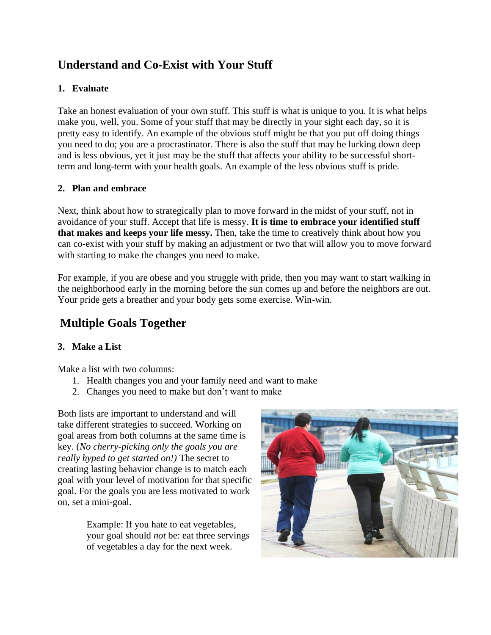## **Understand and Co-Exist with Your Stuff**

### **1. Evaluate**

Take an honest evaluation of your own stuff. This stuff is what is unique to you. It is what helps make you, well, you. Some of your stuff that may be directly in your sight each day, so it is pretty easy to identify. An example of the obvious stuff might be that you put off doing things you need to do; you are a procrastinator. There is also the stuff that may be lurking down deep and is less obvious, yet it just may be the stuff that affects your ability to be successful shortterm and long-term with your health goals. An example of the less obvious stuff is pride.

#### **2. Plan and embrace**

Next, think about how to strategically plan to move forward in the midst of your stuff, not in avoidance of your stuff. Accept that life is messy. **It is time to embrace your identified stuff that makes and keeps your life messy.** Then, take the time to creatively think about how you can co-exist with your stuff by making an adjustment or two that will allow you to move forward with starting to make the changes you need to make.

For example, if you are obese and you struggle with pride, then you may want to start walking in the neighborhood early in the morning before the sun comes up and before the neighbors are out. Your pride gets a breather and your body gets some exercise. Win-win.

### **Multiple Goals Together**

#### **3. Make a List**

Make a list with two columns:

- 1. Health changes you and your family need and want to make
- 2. Changes you need to make but don't want to make

Both lists are important to understand and will take different strategies to succeed. Working on goal areas from both columns at the same time is key. (*No cherry-picking only the goals you are really hyped to get started on!)* The secret to creating lasting behavior change is to match each goal with your level of motivation for that specific goal. For the goals you are less motivated to work on, set a mini-goal.

> Example: If you hate to eat vegetables, your goal should *not* be: eat three servings of vegetables a day for the next week.